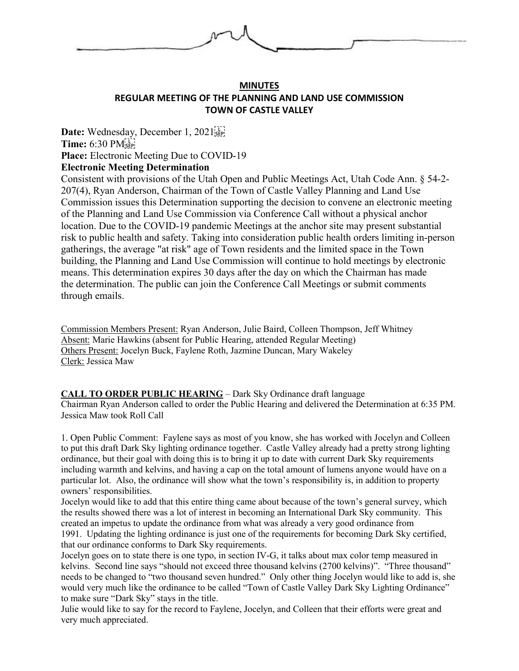

### **MINUTES REGULAR MEETING OF THE PLANNING AND LAND USE COMMISSION TOWN OF CASTLE VALLEY**

Date: Wednesday, December 1, 2021<sup>[1]</sup> **Time:** 6:30 PM **Place:** Electronic Meeting Due to COVID-19 **Electronic Meeting Determination**

Consistent with provisions of the Utah Open and Public Meetings Act, Utah Code Ann. § 54-2- 207(4), Ryan Anderson, Chairman of the Town of Castle Valley Planning and Land Use Commission issues this Determination supporting the decision to convene an electronic meeting of the Planning and Land Use Commission via Conference Call without a physical anchor location. Due to the COVID-19 pandemic Meetings at the anchor site may present substantial risk to public health and safety. Taking into consideration public health orders limiting in-person gatherings, the average "at risk" age of Town residents and the limited space in the Town building, the Planning and Land Use Commission will continue to hold meetings by electronic means. This determination expires 30 days after the day on which the Chairman has made the determination. The public can join the Conference Call Meetings or submit comments through emails.

Commission Members Present: Ryan Anderson, Julie Baird, Colleen Thompson, Jeff Whitney Absent: Marie Hawkins (absent for Public Hearing, attended Regular Meeting) Others Present: Jocelyn Buck, Faylene Roth, Jazmine Duncan, Mary Wakeley Clerk: Jessica Maw

#### **CALL TO ORDER PUBLIC HEARING** – Dark Sky Ordinance draft language

Chairman Ryan Anderson called to order the Public Hearing and delivered the Determination at 6:35 PM. Jessica Maw took Roll Call

1. Open Public Comment: Faylene says as most of you know, she has worked with Jocelyn and Colleen to put this draft Dark Sky lighting ordinance together. Castle Valley already had a pretty strong lighting ordinance, but their goal with doing this is to bring it up to date with current Dark Sky requirements including warmth and kelvins, and having a cap on the total amount of lumens anyone would have on a particular lot. Also, the ordinance will show what the town's responsibility is, in addition to property owners' responsibilities.

Jocelyn would like to add that this entire thing came about because of the town's general survey, which the results showed there was a lot of interest in becoming an International Dark Sky community. This created an impetus to update the ordinance from what was already a very good ordinance from

1991. Updating the lighting ordinance is just one of the requirements for becoming Dark Sky certified, that our ordinance conforms to Dark Sky requirements.

Jocelyn goes on to state there is one typo, in section IV-G, it talks about max color temp measured in kelvins. Second line says "should not exceed three thousand kelvins (2700 kelvins)". "Three thousand" needs to be changed to "two thousand seven hundred." Only other thing Jocelyn would like to add is, she would very much like the ordinance to be called "Town of Castle Valley Dark Sky Lighting Ordinance" to make sure "Dark Sky" stays in the title.

Julie would like to say for the record to Faylene, Jocelyn, and Colleen that their efforts were great and very much appreciated.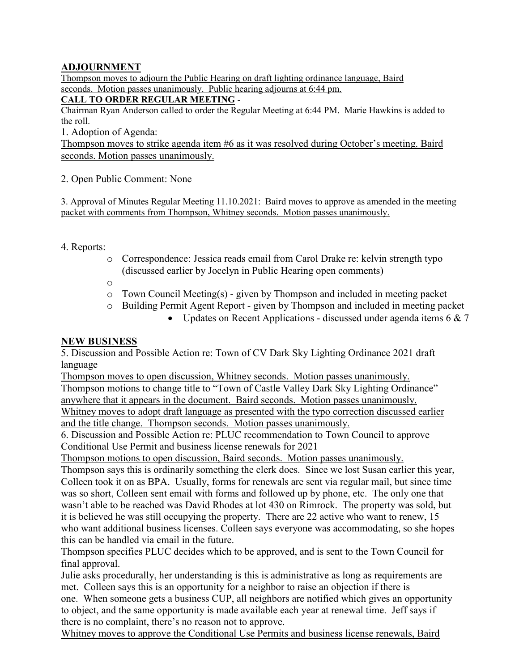# **ADJOURNMENT**

Thompson moves to adjourn the Public Hearing on draft lighting ordinance language, Baird seconds. Motion passes unanimously. Public hearing adjourns at 6:44 pm.

## **CALL TO ORDER REGULAR MEETING** -

Chairman Ryan Anderson called to order the Regular Meeting at 6:44 PM. Marie Hawkins is added to the roll.

1. Adoption of Agenda:

Thompson moves to strike agenda item #6 as it was resolved during October's meeting. Baird seconds. Motion passes unanimously.

### 2. Open Public Comment: None

3. Approval of Minutes Regular Meeting 11.10.2021: Baird moves to approve as amended in the meeting packet with comments from Thompson, Whitney seconds. Motion passes unanimously.

# 4. Reports:

- o Correspondence: Jessica reads email from Carol Drake re: kelvin strength typo (discussed earlier by Jocelyn in Public Hearing open comments)
- o
- o Town Council Meeting(s) given by Thompson and included in meeting packet
- o Building Permit Agent Report given by Thompson and included in meeting packet
	- Updates on Recent Applications discussed under agenda items 6 & 7

### **NEW BUSINESS**

5. Discussion and Possible Action re: Town of CV Dark Sky Lighting Ordinance 2021 draft language

Thompson moves to open discussion, Whitney seconds. Motion passes unanimously. Thompson motions to change title to "Town of Castle Valley Dark Sky Lighting Ordinance" anywhere that it appears in the document. Baird seconds. Motion passes unanimously. Whitney moves to adopt draft language as presented with the typo correction discussed earlier and the title change. Thompson seconds. Motion passes unanimously.

6. Discussion and Possible Action re: PLUC recommendation to Town Council to approve Conditional Use Permit and business license renewals for 2021

Thompson motions to open discussion, Baird seconds. Motion passes unanimously.

Thompson says this is ordinarily something the clerk does. Since we lost Susan earlier this year, Colleen took it on as BPA. Usually, forms for renewals are sent via regular mail, but since time was so short, Colleen sent email with forms and followed up by phone, etc. The only one that wasn't able to be reached was David Rhodes at lot 430 on Rimrock. The property was sold, but it is believed he was still occupying the property. There are 22 active who want to renew, 15 who want additional business licenses. Colleen says everyone was accommodating, so she hopes this can be handled via email in the future.

Thompson specifies PLUC decides which to be approved, and is sent to the Town Council for final approval.

Julie asks procedurally, her understanding is this is administrative as long as requirements are met. Colleen says this is an opportunity for a neighbor to raise an objection if there is one. When someone gets a business CUP, all neighbors are notified which gives an opportunity to object, and the same opportunity is made available each year at renewal time. Jeff says if there is no complaint, there's no reason not to approve.

Whitney moves to approve the Conditional Use Permits and business license renewals, Baird